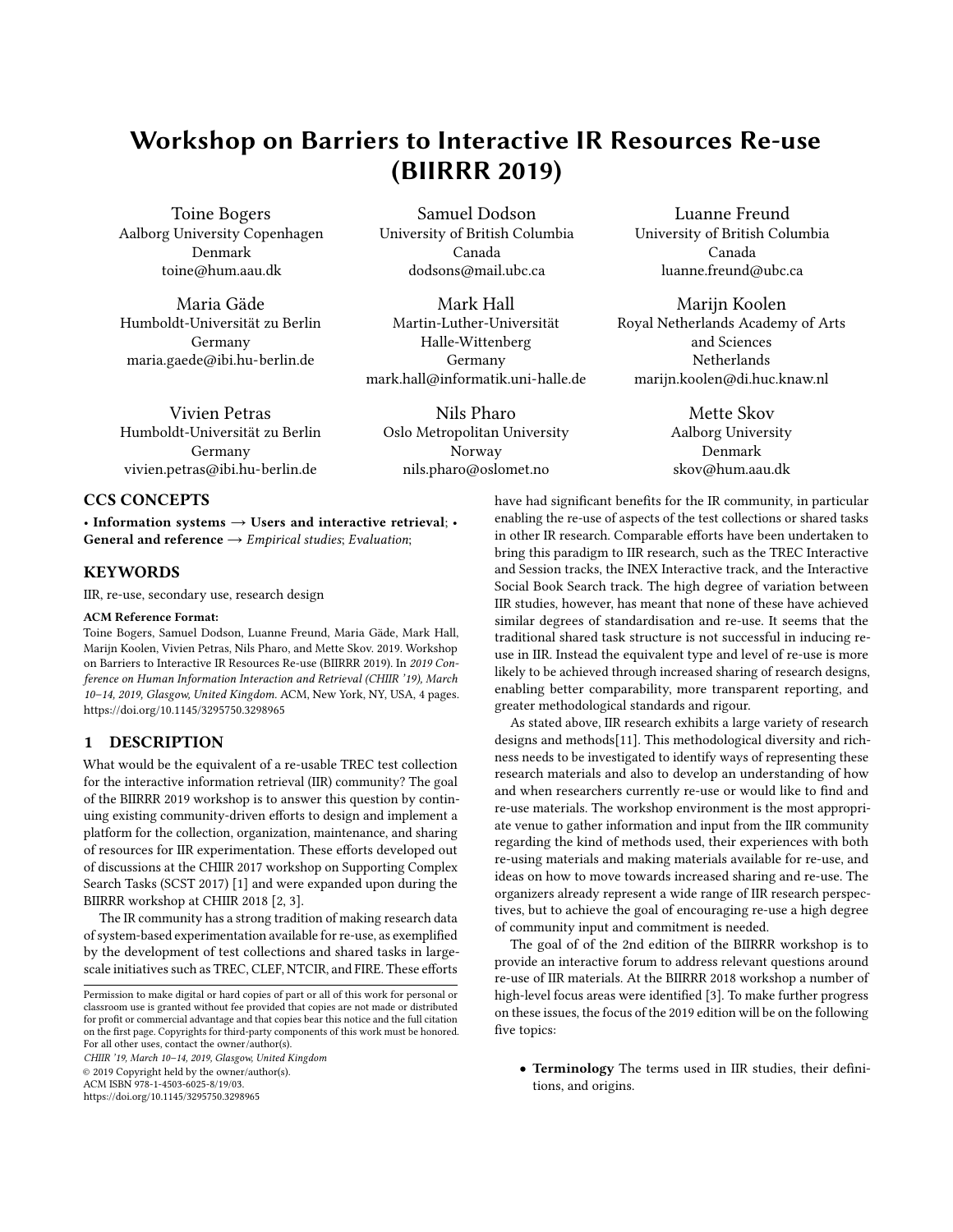# <span id="page-0-0"></span>Workshop on Barriers to Interactive IR Resources Re-use (BIIRRR 2019)

Toine Bogers Aalborg University Copenhagen Denmark toine@hum.aau.dk

Maria Gäde Humboldt-Universität zu Berlin Germany maria.gaede@ibi.hu-berlin.de

Samuel Dodson University of British Columbia Canada dodsons@mail.ubc.ca

Mark Hall Martin-Luther-Universität Halle-Wittenberg Germany mark.hall@informatik.uni-halle.de

Vivien Petras Humboldt-Universität zu Berlin Germany vivien.petras@ibi.hu-berlin.de

Nils Pharo Oslo Metropolitan University Norway nils.pharo@oslomet.no

## Luanne Freund University of British Columbia Canada luanne.freund@ubc.ca

Marijn Koolen Royal Netherlands Academy of Arts and Sciences **Netherlands** marijn.koolen@di.huc.knaw.nl

> Mette Skov Aalborg University Denmark skov@hum.aau.dk

### CCS CONCEPTS

• Information systems  $\rightarrow$  Users and interactive retrieval; • General and reference  $\rightarrow$  Empirical studies; Evaluation;

#### **KEYWORDS**

IIR, re-use, secondary use, research design

#### ACM Reference Format:

Toine Bogers, Samuel Dodson, Luanne Freund, Maria Gäde, Mark Hall, Marijn Koolen, Vivien Petras, Nils Pharo, and Mette Skov. 2019. Workshop on Barriers to Interactive IR Resources Re-use (BIIRRR 2019). In 2019 Conference on Human Information Interaction and Retrieval (CHIIR '19), March 10–14, 2019, Glasgow, United Kingdom. ACM, New York, NY, USA, [4](#page-3-0) pages. <https://doi.org/10.1145/3295750.3298965>

### 1 DESCRIPTION

What would be the equivalent of a re-usable TREC test collection for the interactive information retrieval (IIR) community? The goal of the BIIRRR 2019 workshop is to answer this question by continuing existing community-driven efforts to design and implement a platform for the collection, organization, maintenance, and sharing of resources for IIR experimentation. These efforts developed out of discussions at the CHIIR 2017 workshop on Supporting Complex Search Tasks (SCST 2017) [\[1\]](#page-3-1) and were expanded upon during the BIIRRR workshop at CHIIR 2018 [\[2,](#page-3-2) [3\]](#page-3-3).

The IR community has a strong tradition of making research data of system-based experimentation available for re-use, as exemplified by the development of test collections and shared tasks in largescale initiatives such as TREC, CLEF, NTCIR, and FIRE. These efforts

CHIIR '19, March 10–14, 2019, Glasgow, United Kingdom © 2019 Copyright held by the owner/author(s).

ACM ISBN 978-1-4503-6025-8/19/03.

<https://doi.org/10.1145/3295750.3298965>

have had significant benefits for the IR community, in particular enabling the re-use of aspects of the test collections or shared tasks in other IR research. Comparable efforts have been undertaken to bring this paradigm to IIR research, such as the TREC Interactive and Session tracks, the INEX Interactive track, and the Interactive Social Book Search track. The high degree of variation between IIR studies, however, has meant that none of these have achieved similar degrees of standardisation and re-use. It seems that the traditional shared task structure is not successful in inducing reuse in IIR. Instead the equivalent type and level of re-use is more likely to be achieved through increased sharing of research designs, enabling better comparability, more transparent reporting, and greater methodological standards and rigour.

As stated above, IIR research exhibits a large variety of research designs and methods[\[11\]](#page-3-4). This methodological diversity and richness needs to be investigated to identify ways of representing these research materials and also to develop an understanding of how and when researchers currently re-use or would like to find and re-use materials. The workshop environment is the most appropriate venue to gather information and input from the IIR community regarding the kind of methods used, their experiences with both re-using materials and making materials available for re-use, and ideas on how to move towards increased sharing and re-use. The organizers already represent a wide range of IIR research perspectives, but to achieve the goal of encouraging re-use a high degree of community input and commitment is needed.

The goal of of the 2nd edition of the BIIRRR workshop is to provide an interactive forum to address relevant questions around re-use of IIR materials. At the BIIRRR 2018 workshop a number of high-level focus areas were identified [\[3\]](#page-3-3). To make further progress on these issues, the focus of the 2019 edition will be on the following five topics:

• Terminology The terms used in IIR studies, their definitions, and origins.

Permission to make digital or hard copies of part or all of this work for personal or classroom use is granted without fee provided that copies are not made or distributed for profit or commercial advantage and that copies bear this notice and the full citation on the first page. Copyrights for third-party components of this work must be honored. For all other uses, contact the owner/author(s).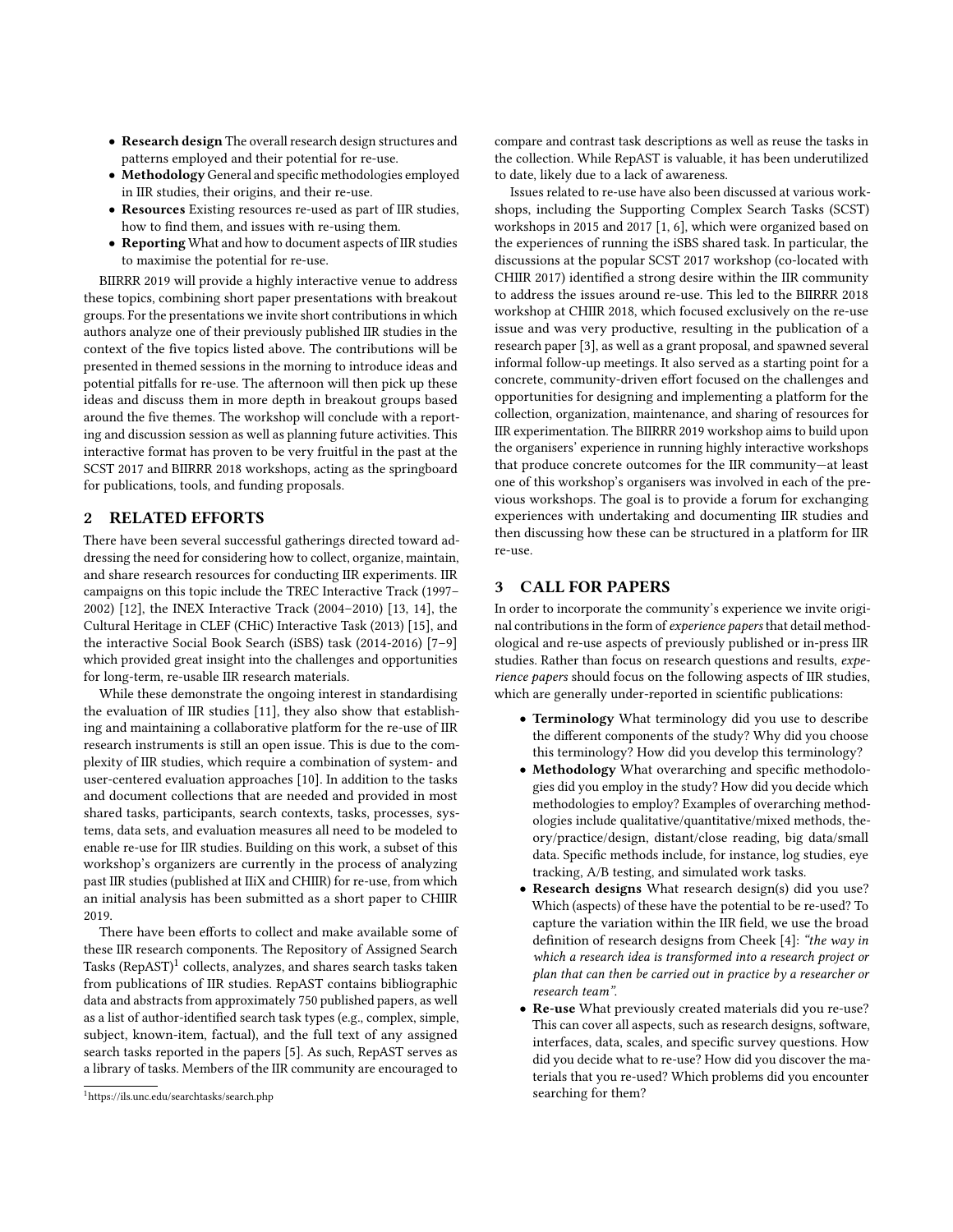- Research design The overall research design structures and patterns employed and their potential for re-use.
- Methodology General and specific methodologies employed in IIR studies, their origins, and their re-use.
- Resources Existing resources re-used as part of IIR studies, how to find them, and issues with re-using them.
- Reporting What and how to document aspects of IIR studies to maximise the potential for re-use.

BIIRRR 2019 will provide a highly interactive venue to address these topics, combining short paper presentations with breakout groups. For the presentations we invite short contributions in which authors analyze one of their previously published IIR studies in the context of the five topics listed above. The contributions will be presented in themed sessions in the morning to introduce ideas and potential pitfalls for re-use. The afternoon will then pick up these ideas and discuss them in more depth in breakout groups based around the five themes. The workshop will conclude with a reporting and discussion session as well as planning future activities. This interactive format has proven to be very fruitful in the past at the SCST 2017 and BIIRRR 2018 workshops, acting as the springboard for publications, tools, and funding proposals.

#### 2 RELATED EFFORTS

There have been several successful gatherings directed toward addressing the need for considering how to collect, organize, maintain, and share research resources for conducting IIR experiments. IIR campaigns on this topic include the TREC Interactive Track (1997– 2002) [\[12\]](#page-3-5), the INEX Interactive Track (2004–2010) [\[13,](#page-3-6) [14\]](#page-3-7), the Cultural Heritage in CLEF (CHiC) Interactive Task (2013) [\[15\]](#page-3-8), and the interactive Social Book Search (iSBS) task (2014-2016) [\[7–](#page-3-9)[9\]](#page-3-10) which provided great insight into the challenges and opportunities for long-term, re-usable IIR research materials.

While these demonstrate the ongoing interest in standardising the evaluation of IIR studies [\[11\]](#page-3-4), they also show that establishing and maintaining a collaborative platform for the re-use of IIR research instruments is still an open issue. This is due to the complexity of IIR studies, which require a combination of system- and user-centered evaluation approaches [\[10\]](#page-3-11). In addition to the tasks and document collections that are needed and provided in most shared tasks, participants, search contexts, tasks, processes, systems, data sets, and evaluation measures all need to be modeled to enable re-use for IIR studies. Building on this work, a subset of this workshop's organizers are currently in the process of analyzing past IIR studies (published at IIiX and CHIIR) for re-use, from which an initial analysis has been submitted as a short paper to CHIIR 2019.

There have been efforts to collect and make available some of these IIR research components. The Repository of Assigned Search Tasks (RepAST)<sup>[1](#page-0-0)</sup> collects, analyzes, and shares search tasks taken from publications of IIR studies. RepAST contains bibliographic data and abstracts from approximately 750 published papers, as well as a list of author-identified search task types (e.g., complex, simple, subject, known-item, factual), and the full text of any assigned search tasks reported in the papers [\[5\]](#page-3-12). As such, RepAST serves as a library of tasks. Members of the IIR community are encouraged to

compare and contrast task descriptions as well as reuse the tasks in the collection. While RepAST is valuable, it has been underutilized to date, likely due to a lack of awareness.

Issues related to re-use have also been discussed at various workshops, including the Supporting Complex Search Tasks (SCST) workshops in 2015 and 2017 [\[1,](#page-3-1) [6\]](#page-3-13), which were organized based on the experiences of running the iSBS shared task. In particular, the discussions at the popular SCST 2017 workshop (co-located with CHIIR 2017) identified a strong desire within the IIR community to address the issues around re-use. This led to the BIIRRR 2018 workshop at CHIIR 2018, which focused exclusively on the re-use issue and was very productive, resulting in the publication of a research paper [\[3\]](#page-3-3), as well as a grant proposal, and spawned several informal follow-up meetings. It also served as a starting point for a concrete, community-driven effort focused on the challenges and opportunities for designing and implementing a platform for the collection, organization, maintenance, and sharing of resources for IIR experimentation. The BIIRRR 2019 workshop aims to build upon the organisers' experience in running highly interactive workshops that produce concrete outcomes for the IIR community—at least one of this workshop's organisers was involved in each of the previous workshops. The goal is to provide a forum for exchanging experiences with undertaking and documenting IIR studies and then discussing how these can be structured in a platform for IIR re-use.

#### <span id="page-1-0"></span>3 CALL FOR PAPERS

In order to incorporate the community's experience we invite original contributions in the form of experience papers that detail methodological and re-use aspects of previously published or in-press IIR studies. Rather than focus on research questions and results, experience papers should focus on the following aspects of IIR studies, which are generally under-reported in scientific publications:

- Terminology What terminology did you use to describe the different components of the study? Why did you choose this terminology? How did you develop this terminology?
- Methodology What overarching and specific methodologies did you employ in the study? How did you decide which methodologies to employ? Examples of overarching methodologies include qualitative/quantitative/mixed methods, theory/practice/design, distant/close reading, big data/small data. Specific methods include, for instance, log studies, eye tracking, A/B testing, and simulated work tasks.
- Research designs What research design(s) did you use? Which (aspects) of these have the potential to be re-used? To capture the variation within the IIR field, we use the broad definition of research designs from Cheek [\[4\]](#page-3-14): "the way in which a research idea is transformed into a research project or plan that can then be carried out in practice by a researcher or research team".
- Re-use What previously created materials did you re-use? This can cover all aspects, such as research designs, software, interfaces, data, scales, and specific survey questions. How did you decide what to re-use? How did you discover the materials that you re-used? Which problems did you encounter searching for them?

<sup>1</sup><https://ils.unc.edu/searchtasks/search.php>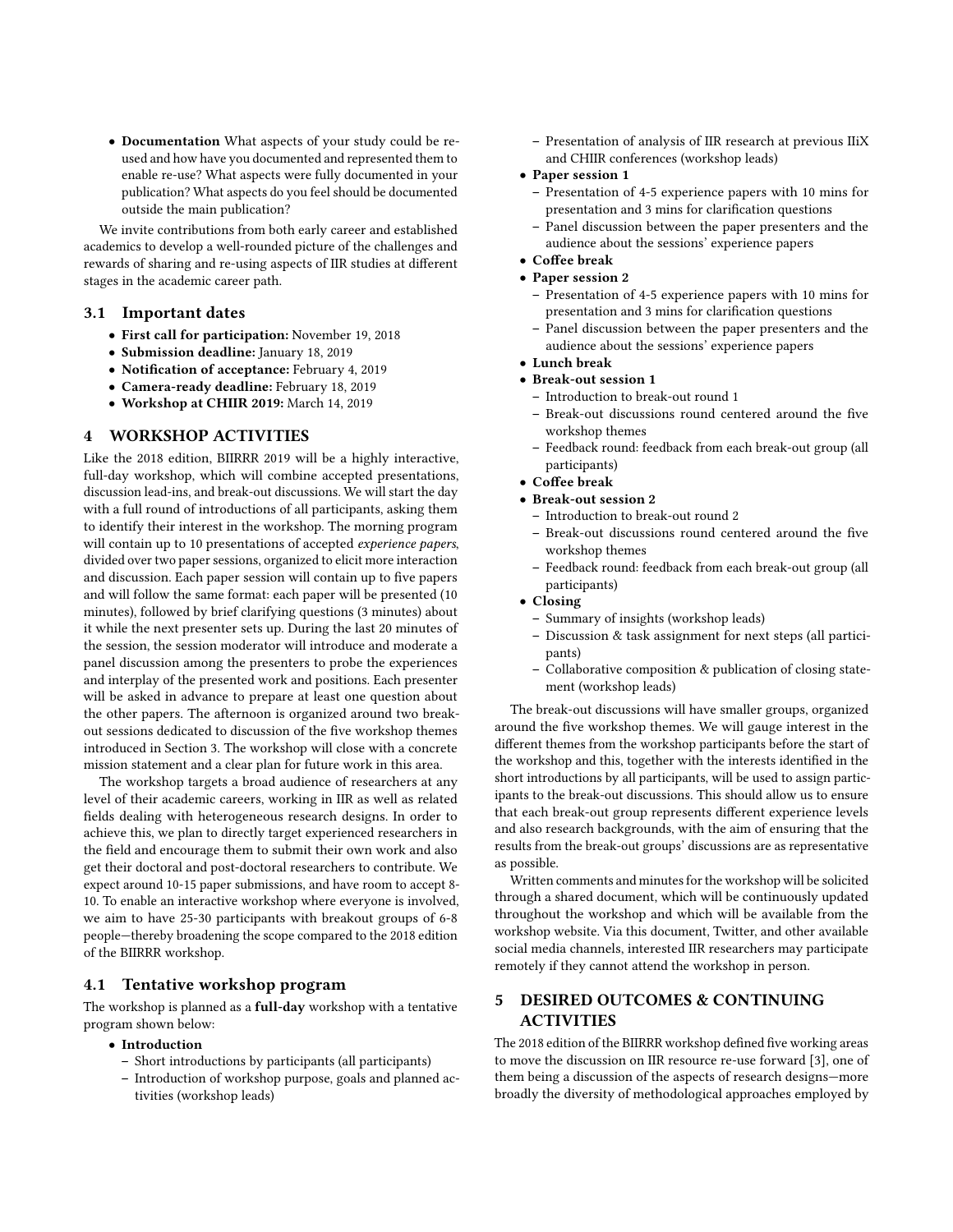• Documentation What aspects of your study could be reused and how have you documented and represented them to enable re-use? What aspects were fully documented in your publication? What aspects do you feel should be documented outside the main publication?

We invite contributions from both early career and established academics to develop a well-rounded picture of the challenges and rewards of sharing and re-using aspects of IIR studies at different stages in the academic career path.

#### 3.1 Important dates

- First call for participation: November 19, 2018
- Submission deadline: January 18, 2019
- Notification of acceptance: February 4, 2019
- Camera-ready deadline: February 18, 2019
- Workshop at CHIIR 2019: March 14, 2019

#### 4 WORKSHOP ACTIVITIES

Like the 2018 edition, BIIRRR 2019 will be a highly interactive, full-day workshop, which will combine accepted presentations, discussion lead-ins, and break-out discussions. We will start the day with a full round of introductions of all participants, asking them to identify their interest in the workshop. The morning program will contain up to 10 presentations of accepted experience papers, divided over two paper sessions, organized to elicit more interaction and discussion. Each paper session will contain up to five papers and will follow the same format: each paper will be presented (10 minutes), followed by brief clarifying questions (3 minutes) about it while the next presenter sets up. During the last 20 minutes of the session, the session moderator will introduce and moderate a panel discussion among the presenters to probe the experiences and interplay of the presented work and positions. Each presenter will be asked in advance to prepare at least one question about the other papers. The afternoon is organized around two breakout sessions dedicated to discussion of the five workshop themes introduced in Section [3.](#page-1-0) The workshop will close with a concrete mission statement and a clear plan for future work in this area.

The workshop targets a broad audience of researchers at any level of their academic careers, working in IIR as well as related fields dealing with heterogeneous research designs. In order to achieve this, we plan to directly target experienced researchers in the field and encourage them to submit their own work and also get their doctoral and post-doctoral researchers to contribute. We expect around 10-15 paper submissions, and have room to accept 8- 10. To enable an interactive workshop where everyone is involved, we aim to have 25-30 participants with breakout groups of 6-8 people—thereby broadening the scope compared to the 2018 edition of the BIIRRR workshop.

#### 4.1 Tentative workshop program

The workshop is planned as a full-day workshop with a tentative program shown below:

- Introduction
	- Short introductions by participants (all participants)
	- Introduction of workshop purpose, goals and planned activities (workshop leads)
- Presentation of analysis of IIR research at previous IIiX and CHIIR conferences (workshop leads)
- Paper session 1
	- Presentation of 4-5 experience papers with 10 mins for presentation and 3 mins for clarification questions
	- Panel discussion between the paper presenters and the audience about the sessions' experience papers
- Coffee break
- Paper session 2
	- Presentation of 4-5 experience papers with 10 mins for presentation and 3 mins for clarification questions
	- Panel discussion between the paper presenters and the audience about the sessions' experience papers
- Lunch break
- Break-out session 1
	- Introduction to break-out round 1
	- Break-out discussions round centered around the five workshop themes
	- Feedback round: feedback from each break-out group (all participants)
- Coffee break
- Break-out session 2
	- Introduction to break-out round 2
	- Break-out discussions round centered around the five workshop themes
	- Feedback round: feedback from each break-out group (all participants)
- Closing
	- Summary of insights (workshop leads)
	- Discussion & task assignment for next steps (all participants)
	- Collaborative composition & publication of closing statement (workshop leads)

The break-out discussions will have smaller groups, organized around the five workshop themes. We will gauge interest in the different themes from the workshop participants before the start of the workshop and this, together with the interests identified in the short introductions by all participants, will be used to assign participants to the break-out discussions. This should allow us to ensure that each break-out group represents different experience levels and also research backgrounds, with the aim of ensuring that the results from the break-out groups' discussions are as representative as possible.

Written comments and minutes for the workshop will be solicited through a shared document, which will be continuously updated throughout the workshop and which will be available from the workshop website. Via this document, Twitter, and other available social media channels, interested IIR researchers may participate remotely if they cannot attend the workshop in person.

## 5 DESIRED OUTCOMES & CONTINUING ACTIVITIES

The 2018 edition of the BIIRRR workshop defined five working areas to move the discussion on IIR resource re-use forward [\[3\]](#page-3-3), one of them being a discussion of the aspects of research designs—more broadly the diversity of methodological approaches employed by